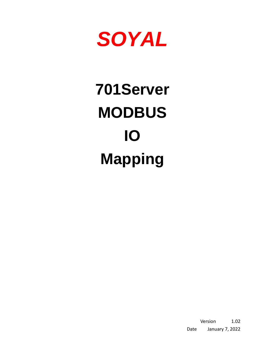

# **701Server MODBUS IO Mapping**

Version 1.02 Date January 7, 2022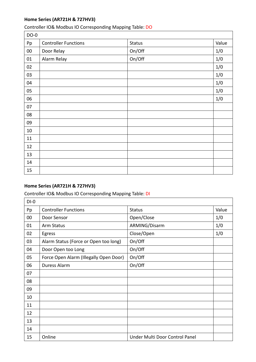# **Home Series (AR721H & 727HV3)**

## Controller IO& Modbus IO Corresponding Mapping Table: DO

| $DO-0$ |                             |               |       |
|--------|-----------------------------|---------------|-------|
| Pp     | <b>Controller Functions</b> | <b>Status</b> | Value |
| 00     | Door Relay                  | On/Off        | 1/0   |
| 01     | Alarm Relay                 | On/Off        | 1/0   |
| 02     |                             |               | 1/0   |
| 03     |                             |               | 1/0   |
| 04     |                             |               | 1/0   |
| 05     |                             |               | 1/0   |
| 06     |                             |               | 1/0   |
| 07     |                             |               |       |
| 08     |                             |               |       |
| 09     |                             |               |       |
| 10     |                             |               |       |
| 11     |                             |               |       |
| 12     |                             |               |       |
| 13     |                             |               |       |
| 14     |                             |               |       |
| 15     |                             |               |       |

# **Home Series (AR721H & 727HV3)**

## Controller IO& Modbus IO Corresponding Mapping Table: DI

| $DI-0$ |                                        |                                |       |
|--------|----------------------------------------|--------------------------------|-------|
| Pp     | <b>Controller Functions</b>            | <b>Status</b>                  | Value |
| 00     | Door Sensor                            | Open/Close                     | 1/0   |
| 01     | Arm Status                             | ARMING/Disarm                  | 1/0   |
| 02     | Egress                                 | Close/Open                     | 1/0   |
| 03     | Alarm Status (Force or Open too long)  | On/Off                         |       |
| 04     | Door Open too Long                     | On/Off                         |       |
| 05     | Force Open Alarm (Illegally Open Door) | On/Off                         |       |
| 06     | <b>Duress Alarm</b>                    | On/Off                         |       |
| 07     |                                        |                                |       |
| 08     |                                        |                                |       |
| 09     |                                        |                                |       |
| 10     |                                        |                                |       |
| 11     |                                        |                                |       |
| 12     |                                        |                                |       |
| 13     |                                        |                                |       |
| 14     |                                        |                                |       |
| 15     | Online                                 | Under Multi Door Control Panel |       |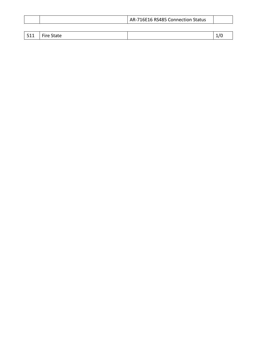|  | AR-716E16 RS485 Connection Status |  |
|--|-----------------------------------|--|
|  |                                   |  |

| $-511$<br>--- | $- \cdot$<br>$C = 1$<br>.<br>.<br>, ,<br>nale |  |
|---------------|-----------------------------------------------|--|
|               |                                               |  |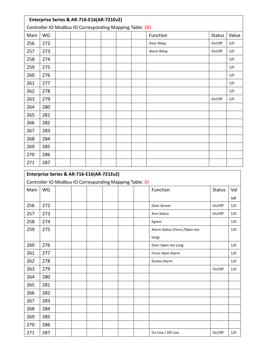|      |                                                         | Enterprise Series & AR-716-E16(AR-721Ev2) |  |  |  |  |  |             |  |               |       |  |  |
|------|---------------------------------------------------------|-------------------------------------------|--|--|--|--|--|-------------|--|---------------|-------|--|--|
|      | Controller IO Modbus IO Corresponding Mapping Table: DO |                                           |  |  |  |  |  |             |  |               |       |  |  |
| Main | WG                                                      |                                           |  |  |  |  |  | Function    |  | <b>Status</b> | Value |  |  |
| 256  | 272                                                     |                                           |  |  |  |  |  | Door Relay  |  | On/Off        | 1/0   |  |  |
| 257  | 273                                                     |                                           |  |  |  |  |  | Alarm Relay |  | On/Off        | 1/0   |  |  |
| 258  | 274                                                     |                                           |  |  |  |  |  |             |  |               | 1/0   |  |  |
| 259  | 275                                                     |                                           |  |  |  |  |  |             |  |               | 1/0   |  |  |
| 260  | 276                                                     |                                           |  |  |  |  |  |             |  |               | 1/0   |  |  |
| 261  | 277                                                     |                                           |  |  |  |  |  |             |  |               | 1/0   |  |  |
| 262  | 278                                                     |                                           |  |  |  |  |  |             |  |               | 1/0   |  |  |
| 263  | 279                                                     |                                           |  |  |  |  |  |             |  | On/Off        | 1/0   |  |  |
| 264  | 280                                                     |                                           |  |  |  |  |  |             |  |               |       |  |  |
| 265  | 281                                                     |                                           |  |  |  |  |  |             |  |               |       |  |  |
| 266  | 282                                                     |                                           |  |  |  |  |  |             |  |               |       |  |  |
| 267  | 283                                                     |                                           |  |  |  |  |  |             |  |               |       |  |  |
| 268  | 284                                                     |                                           |  |  |  |  |  |             |  |               |       |  |  |
| 269  | 285                                                     |                                           |  |  |  |  |  |             |  |               |       |  |  |
| 270  | 286                                                     |                                           |  |  |  |  |  |             |  |               |       |  |  |
| 271  | 287                                                     |                                           |  |  |  |  |  |             |  |               |       |  |  |

|      | Enterprise Series & AR-716-E16(AR-721Ev2) |  |  |                                                         |                                |               |     |
|------|-------------------------------------------|--|--|---------------------------------------------------------|--------------------------------|---------------|-----|
|      |                                           |  |  | Controller IO Modbus IO Corresponding Mapping Table: DI |                                |               |     |
| Main | WG                                        |  |  |                                                         | Function                       | <b>Status</b> | Val |
|      |                                           |  |  |                                                         |                                |               | ue  |
| 256  | 272                                       |  |  |                                                         | Door Sensor                    | On/Off        | 1/0 |
| 257  | 273                                       |  |  |                                                         | Arm Status                     | On/Off        | 1/0 |
| 258  | 274                                       |  |  |                                                         | Egress                         |               | 1/0 |
| 259  | 275                                       |  |  |                                                         | Alarm Status (Force / Open too |               | 1/0 |
|      |                                           |  |  |                                                         | long)                          |               |     |
| 260  | 276                                       |  |  |                                                         | Door Open too Long             |               | 1/0 |
| 261  | 277                                       |  |  |                                                         | Force Open Alarm               |               | 1/0 |
| 262  | 278                                       |  |  |                                                         | Duress Alarm                   |               | 1/0 |
| 263  | 279                                       |  |  |                                                         |                                | On/Off        | 1/0 |
| 264  | 280                                       |  |  |                                                         |                                |               |     |
| 265  | 281                                       |  |  |                                                         |                                |               |     |
| 266  | 282                                       |  |  |                                                         |                                |               |     |
| 267  | 283                                       |  |  |                                                         |                                |               |     |
| 268  | 284                                       |  |  |                                                         |                                |               |     |
| 269  | 285                                       |  |  |                                                         |                                |               |     |
| 270  | 286                                       |  |  |                                                         |                                |               |     |
| 271  | 287                                       |  |  |                                                         | On Line / Off Line             | On/Off        | 1/0 |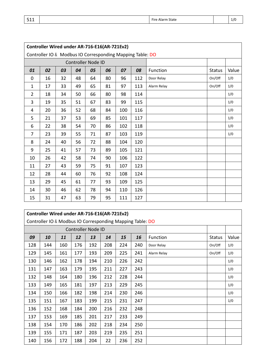| 511<br>Fire Alarm State | 1/0 |
|-------------------------|-----|
|-------------------------|-----|

|                | Controller Wired under AR-716-E16(AR-721Ev2) |                                                           |    |                    |    |     |     |             |               |       |  |  |  |  |
|----------------|----------------------------------------------|-----------------------------------------------------------|----|--------------------|----|-----|-----|-------------|---------------|-------|--|--|--|--|
|                |                                              | Controller IO & Modbus IO Corresponding Mapping Table: DO |    |                    |    |     |     |             |               |       |  |  |  |  |
|                |                                              |                                                           |    | Controller Node ID |    |     |     |             |               |       |  |  |  |  |
| 01             | 02                                           | 03                                                        | 04 | 05                 | 06 | 07  | 08  | Function    | <b>Status</b> | Value |  |  |  |  |
| 0              | 16                                           | 32                                                        | 48 | 64                 | 80 | 96  | 112 | Door Relay  | On/Off        | 1/0   |  |  |  |  |
| $\mathbf{1}$   | 17                                           | 33                                                        | 49 | 65                 | 81 | 97  | 113 | Alarm Relay | On/Off        | 1/0   |  |  |  |  |
| $\overline{2}$ | 18                                           | 34                                                        | 50 | 66                 | 80 | 98  | 114 |             |               | 1/0   |  |  |  |  |
| 3              | 19                                           | 35                                                        | 51 | 67                 | 83 | 99  | 115 |             |               | 1/0   |  |  |  |  |
| 4              | 20                                           | 36                                                        | 52 | 68                 | 84 | 100 | 116 |             |               | 1/0   |  |  |  |  |
| 5              | 21                                           | 37                                                        | 53 | 69                 | 85 | 101 | 117 |             |               | 1/0   |  |  |  |  |
| 6              | 22                                           | 38                                                        | 54 | 70                 | 86 | 102 | 118 |             |               | 1/0   |  |  |  |  |
| 7              | 23                                           | 39                                                        | 55 | 71                 | 87 | 103 | 119 |             |               | 1/0   |  |  |  |  |
| 8              | 24                                           | 40                                                        | 56 | 72                 | 88 | 104 | 120 |             |               |       |  |  |  |  |
| 9              | 25                                           | 41                                                        | 57 | 73                 | 89 | 105 | 121 |             |               |       |  |  |  |  |
| 10             | 26                                           | 42                                                        | 58 | 74                 | 90 | 106 | 122 |             |               |       |  |  |  |  |
| 11             | 27                                           | 43                                                        | 59 | 75                 | 91 | 107 | 123 |             |               |       |  |  |  |  |
| 12             | 28                                           | 44                                                        | 60 | 76                 | 92 | 108 | 124 |             |               |       |  |  |  |  |
| 13             | 29                                           | 45                                                        | 61 | 77                 | 93 | 109 | 125 |             |               |       |  |  |  |  |
| 14             | 30                                           | 46                                                        | 62 | 78                 | 94 | 110 | 126 |             |               |       |  |  |  |  |
| 15             | 31                                           | 47                                                        | 63 | 79                 | 95 | 111 | 127 |             |               |       |  |  |  |  |

|     |     |     |     | <b>Controller Node ID</b> |     |     |     |             |               |       |
|-----|-----|-----|-----|---------------------------|-----|-----|-----|-------------|---------------|-------|
| 09  | 10  | 11  | 12  | 13                        | 14  | 15  | 16  | Function    | <b>Status</b> | Value |
| 128 | 144 | 160 | 176 | 192                       | 208 | 224 | 240 | Door Relay  | On/Off        | 1/0   |
| 129 | 145 | 161 | 177 | 193                       | 209 | 225 | 241 | Alarm Relay | On/Off        | 1/0   |
| 130 | 146 | 162 | 178 | 194                       | 210 | 226 | 242 |             |               | 1/0   |
| 131 | 147 | 163 | 179 | 195                       | 211 | 227 | 243 |             |               | 1/0   |
| 132 | 148 | 164 | 180 | 196                       | 212 | 228 | 244 |             |               | 1/0   |
| 133 | 149 | 165 | 181 | 197                       | 213 | 229 | 245 |             |               | 1/0   |
| 134 | 150 | 166 | 182 | 198                       | 214 | 230 | 246 |             |               | 1/0   |
| 135 | 151 | 167 | 183 | 199                       | 215 | 231 | 247 |             |               | 1/0   |
| 136 | 152 | 168 | 184 | 200                       | 216 | 232 | 248 |             |               |       |
| 137 | 153 | 169 | 185 | 201                       | 217 | 233 | 249 |             |               |       |
| 138 | 154 | 170 | 186 | 202                       | 218 | 234 | 250 |             |               |       |
| 139 | 155 | 171 | 187 | 203                       | 219 | 235 | 251 |             |               |       |
| 140 | 156 | 172 | 188 | 204                       | 22  | 236 | 252 |             |               |       |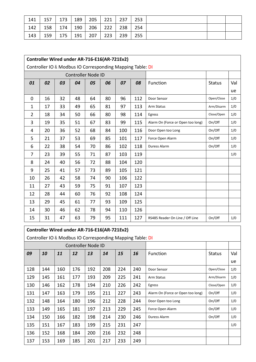| 141 | 157 | 173 | 189 | 205 | 221 | 237 | 253 |  |  |
|-----|-----|-----|-----|-----|-----|-----|-----|--|--|
| 142 | 158 | 174 | 190 | 206 | 222 | 238 | 254 |  |  |
| 143 | 159 | 175 | 191 | 207 | 223 | 239 | 255 |  |  |

|                | Controller Wired under AR-716-E16(AR-721Ev2)              |    |    |                           |    |     |     |                                   |               |     |
|----------------|-----------------------------------------------------------|----|----|---------------------------|----|-----|-----|-----------------------------------|---------------|-----|
|                | Controller IO & Modbus IO Corresponding Mapping Table: DI |    |    |                           |    |     |     |                                   |               |     |
|                |                                                           |    |    | <b>Controller Node ID</b> |    |     |     |                                   |               |     |
| 01             | 02                                                        | 03 | 04 | 05                        | 06 | 07  | 08  | Function                          | <b>Status</b> | Val |
|                |                                                           |    |    |                           |    |     |     |                                   |               | ue  |
| 0              | 16                                                        | 32 | 48 | 64                        | 80 | 96  | 112 | Door Sensor                       | Open/Close    | 1/0 |
| $\mathbf{1}$   | 17                                                        | 33 | 49 | 65                        | 81 | 97  | 113 | Arm Status                        | Arm/Disarm    | 1/0 |
| $\overline{2}$ | 18                                                        | 34 | 50 | 66                        | 80 | 98  | 114 | Egress                            | Close/Open    | 1/0 |
| 3              | 19                                                        | 35 | 51 | 67                        | 83 | 99  | 115 | Alarm On (Force or Open too long) | On/Off        | 1/0 |
| 4              | 20                                                        | 36 | 52 | 68                        | 84 | 100 | 116 | Door Open too Long                | On/Off        | 1/0 |
| 5              | 21                                                        | 37 | 53 | 69                        | 85 | 101 | 117 | Force Open Alarm                  | On/Off        | 1/0 |
| 6              | 22                                                        | 38 | 54 | 70                        | 86 | 102 | 118 | Duress Alarm                      | On/Off        | 1/0 |
| 7              | 23                                                        | 39 | 55 | 71                        | 87 | 103 | 119 |                                   |               | 1/0 |
| 8              | 24                                                        | 40 | 56 | 72                        | 88 | 104 | 120 |                                   |               |     |
| 9              | 25                                                        | 41 | 57 | 73                        | 89 | 105 | 121 |                                   |               |     |
| 10             | 26                                                        | 42 | 58 | 74                        | 90 | 106 | 122 |                                   |               |     |
| 11             | 27                                                        | 43 | 59 | 75                        | 91 | 107 | 123 |                                   |               |     |
| 12             | 28                                                        | 44 | 60 | 76                        | 92 | 108 | 124 |                                   |               |     |
| 13             | 29                                                        | 45 | 61 | 77                        | 93 | 109 | 125 |                                   |               |     |
| 14             | 30                                                        | 46 | 62 | 78                        | 94 | 110 | 126 |                                   |               |     |
| 15             | 31                                                        | 47 | 63 | 79                        | 95 | 111 | 127 | RS485 Reader On Line / Off Line   | On/Off        | 1/0 |

# **Controller Wired under AR-716-E16(AR-721Ev2)**

# Controller IO & Modbus IO Corresponding Mapping Table: DI

| <b>Controller Node ID</b> |     |     |     |     |     |     |     |                                   |               |     |
|---------------------------|-----|-----|-----|-----|-----|-----|-----|-----------------------------------|---------------|-----|
| 09                        | 10  | 11  | 12  | 13  | 14  | 15  | 16  | <b>Function</b>                   | <b>Status</b> | Val |
|                           |     |     |     |     |     |     |     |                                   |               | ue  |
| 128                       | 144 | 160 | 176 | 192 | 208 | 224 | 240 | Door Sensor                       | Open/Close    | 1/0 |
| 129                       | 145 | 161 | 177 | 193 | 209 | 225 | 241 | Arm Status                        | Arm/Disarm    | 1/0 |
| 130                       | 146 | 162 | 178 | 194 | 210 | 226 | 242 | Egress                            | Close/Open    | 1/0 |
| 131                       | 147 | 163 | 179 | 195 | 211 | 227 | 243 | Alarm On (Force or Open too long) | On/Off        | 1/0 |
| 132                       | 148 | 164 | 180 | 196 | 212 | 228 | 244 | Door Open too Long                | On/Off        | 1/0 |
| 133                       | 149 | 165 | 181 | 197 | 213 | 229 | 245 | Force Open Alarm                  | On/Off        | 1/0 |
| 134                       | 150 | 166 | 182 | 198 | 214 | 230 | 246 | Duress Alarm                      | On/Off        | 1/0 |
| 135                       | 151 | 167 | 183 | 199 | 215 | 231 | 247 |                                   |               | 1/0 |
| 136                       | 152 | 168 | 184 | 200 | 216 | 232 | 248 |                                   |               |     |
| 137                       | 153 | 169 | 185 | 201 | 217 | 233 | 249 |                                   |               |     |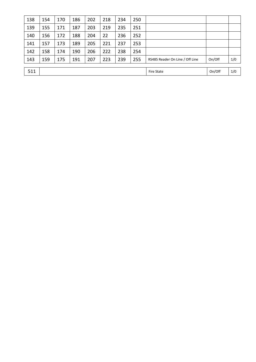| 138 | 154 | 170 | 186 | 202 | 218 | 234               | 250    |                                 |        |     |
|-----|-----|-----|-----|-----|-----|-------------------|--------|---------------------------------|--------|-----|
| 139 | 155 | 171 | 187 | 203 | 219 | 235               | 251    |                                 |        |     |
| 140 | 156 | 172 | 188 | 204 | 22  | 236               | 252    |                                 |        |     |
| 141 | 157 | 173 | 189 | 205 | 221 | 237               | 253    |                                 |        |     |
| 142 | 158 | 174 | 190 | 206 | 222 | 238               | 254    |                                 |        |     |
| 143 | 159 | 175 | 191 | 207 | 223 | 239               | 255    | RS485 Reader On Line / Off Line | On/Off | 1/0 |
|     |     |     |     |     |     |                   |        |                                 |        |     |
| 511 |     |     |     |     |     | <b>Fire State</b> | On/Off | 1/0                             |        |     |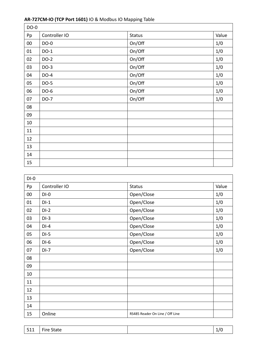| DO-0       |               |               |       |
|------------|---------------|---------------|-------|
| Pp         | Controller IO | <b>Status</b> | Value |
| ${\bf 00}$ | DO-0          | On/Off        | 1/0   |
| 01         | $DO-1$        | On/Off        | 1/0   |
| 02         | $DO-2$        | On/Off        | 1/0   |
| 03         | $DO-3$        | On/Off        | 1/0   |
| 04         | $DO-4$        | On/Off        | 1/0   |
| 05         | DO-5          | On/Off        | 1/0   |
| 06         | DO-6          | On/Off        | 1/0   |
| 07         | DO-7          | On/Off        | 1/0   |
| 08         |               |               |       |
| 09         |               |               |       |
| 10         |               |               |       |
| 11         |               |               |       |
| 12         |               |               |       |
| 13         |               |               |       |
| 14         |               |               |       |
| 15         |               |               |       |

# **AR-727CM-IO (TCP Port 1601)** IO & Modbus IO Mapping Table

| $DI-0$ |               |                                 |       |
|--------|---------------|---------------------------------|-------|
| Pp     | Controller IO | <b>Status</b>                   | Value |
| 00     | $DI-0$        | Open/Close                      | 1/0   |
| 01     | $DI-1$        | Open/Close                      | 1/0   |
| 02     | $DI-2$        | Open/Close                      | 1/0   |
| 03     | $DI-3$        | Open/Close                      | 1/0   |
| 04     | $DI-4$        | Open/Close                      | 1/0   |
| 05     | $DI-5$        | Open/Close                      | 1/0   |
| 06     | $DI-6$        | Open/Close                      | 1/0   |
| 07     | $DI-7$        | Open/Close                      | 1/0   |
| 08     |               |                                 |       |
| 09     |               |                                 |       |
| 10     |               |                                 |       |
| 11     |               |                                 |       |
| 12     |               |                                 |       |
| 13     |               |                                 |       |
| 14     |               |                                 |       |
| 15     | Online        | RS485 Reader On Line / Off Line |       |

| <b>F11</b><br>. .<br>--- | $- \cdot$<br>State<br>-ire |  | -- |
|--------------------------|----------------------------|--|----|
|--------------------------|----------------------------|--|----|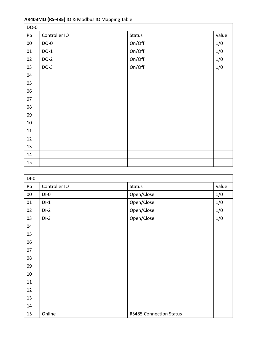# **AR403MO (RS-485)** IO & Modbus IO Mapping Table

| DO-0   |               |               |       |
|--------|---------------|---------------|-------|
| Pp     | Controller IO | <b>Status</b> | Value |
| $00\,$ | DO-0          | On/Off        | 1/0   |
| $01\,$ | $DO-1$        | On/Off        | 1/0   |
| 02     | $DO-2$        | On/Off        | 1/0   |
| 03     | $DO-3$        | On/Off        | 1/0   |
| 04     |               |               |       |
| 05     |               |               |       |
| 06     |               |               |       |
| 07     |               |               |       |
| 08     |               |               |       |
| 09     |               |               |       |
| 10     |               |               |       |
| 11     |               |               |       |
| 12     |               |               |       |
| 13     |               |               |       |
| 14     |               |               |       |
| 15     |               |               |       |

| $DI-0$ |               |                                |       |
|--------|---------------|--------------------------------|-------|
| Pp     | Controller IO | <b>Status</b>                  | Value |
| $00\,$ | $DI-0$        | Open/Close                     | 1/0   |
| 01     | $DI-1$        | Open/Close                     | 1/0   |
| 02     | $DI-2$        | Open/Close                     | 1/0   |
| 03     | $DI-3$        | Open/Close                     | 1/0   |
| 04     |               |                                |       |
| 05     |               |                                |       |
| 06     |               |                                |       |
| 07     |               |                                |       |
| 08     |               |                                |       |
| 09     |               |                                |       |
| 10     |               |                                |       |
| 11     |               |                                |       |
| 12     |               |                                |       |
| 13     |               |                                |       |
| 14     |               |                                |       |
| 15     | Online        | <b>RS485 Connection Status</b> |       |